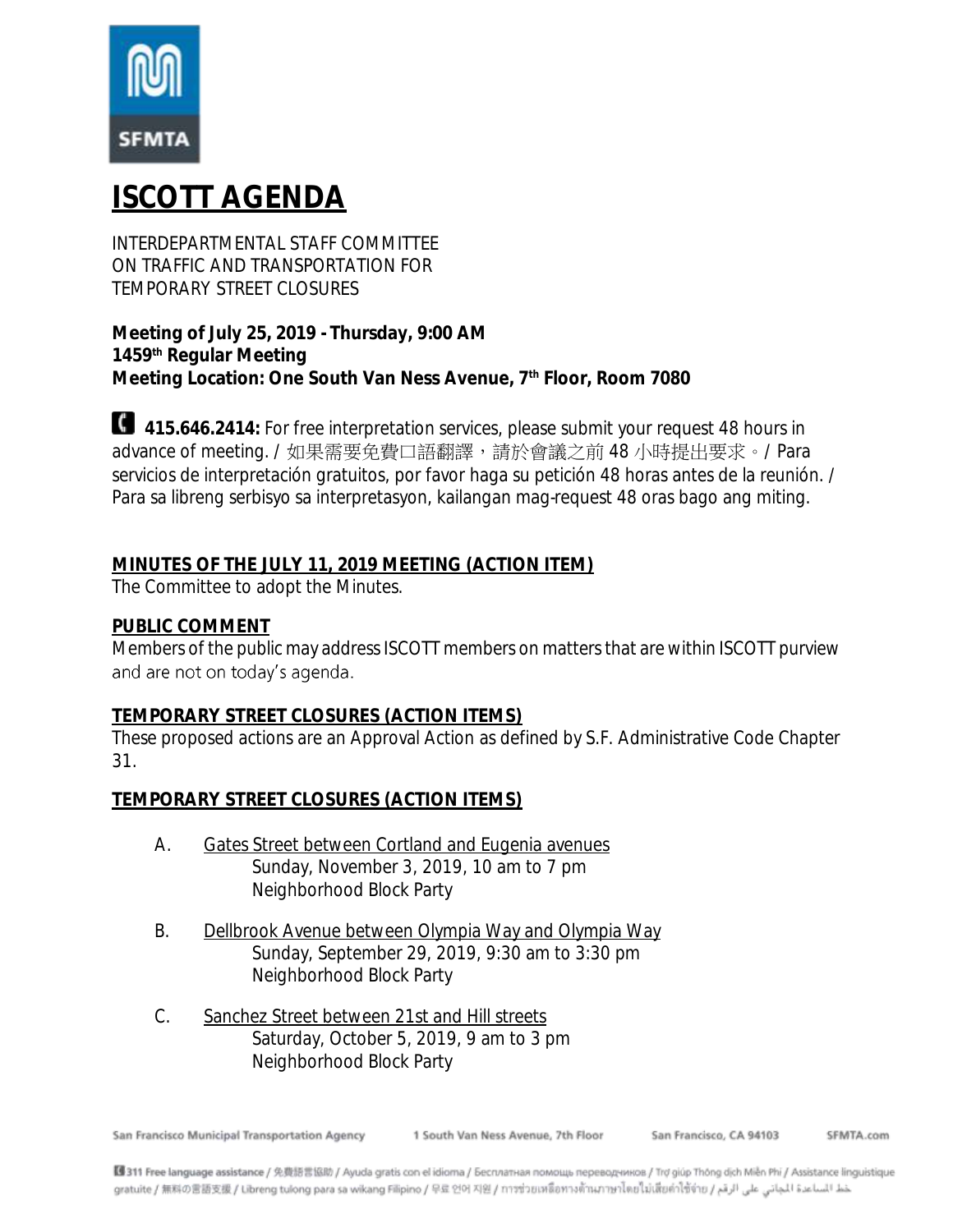

# **ISCOTT AGENDA**

INTERDEPARTMENTAL STAFF COMMITTEE ON TRAFFIC AND TRANSPORTATION FOR TEMPORARY STREET CLOSURES

**Meeting of July 25, 2019 - Thursday, 9:00 AM 1459th Regular Meeting Meeting Location: One South Van Ness Avenue, 7th Floor, Room 7080**

**415.646.2414:** For free interpretation services, please submit your request 48 hours in advance of meeting. / 如果需要免費口語翻譯,請於會議之前 48 小時提出要求。/ Para servicios de interpretación gratuitos, por favor haga su petición 48 horas antes de la reunión. / Para sa libreng serbisyo sa interpretasyon, kailangan mag-request 48 oras bago ang miting.

# **MINUTES OF THE JULY 11, 2019 MEETING (ACTION ITEM)**

The Committee to adopt the Minutes.

### **PUBLIC COMMENT**

Members of the public may address ISCOTT members on matters that are within ISCOTT purview and are not on today's agenda.

### **TEMPORARY STREET CLOSURES (ACTION ITEMS)**

These proposed actions are an Approval Action as defined by S.F. Administrative Code Chapter 31.

**TEMPORARY STREET CLOSURES (ACTION ITEMS)**

- A. Gates Street between Cortland and Eugenia avenues Sunday, November 3, 2019, 10 am to 7 pm Neighborhood Block Party
- B. Dellbrook Avenue between Olympia Way and Olympia Way Sunday, September 29, 2019, 9:30 am to 3:30 pm Neighborhood Block Party
- C. Sanchez Street between 21st and Hill streets Saturday, October 5, 2019, 9 am to 3 pm Neighborhood Block Party

San Francisco Municipal Transportation Agency

1 South Van Ness Avenue, 7th Floor

San Francisco, CA 94103 SEMTA.com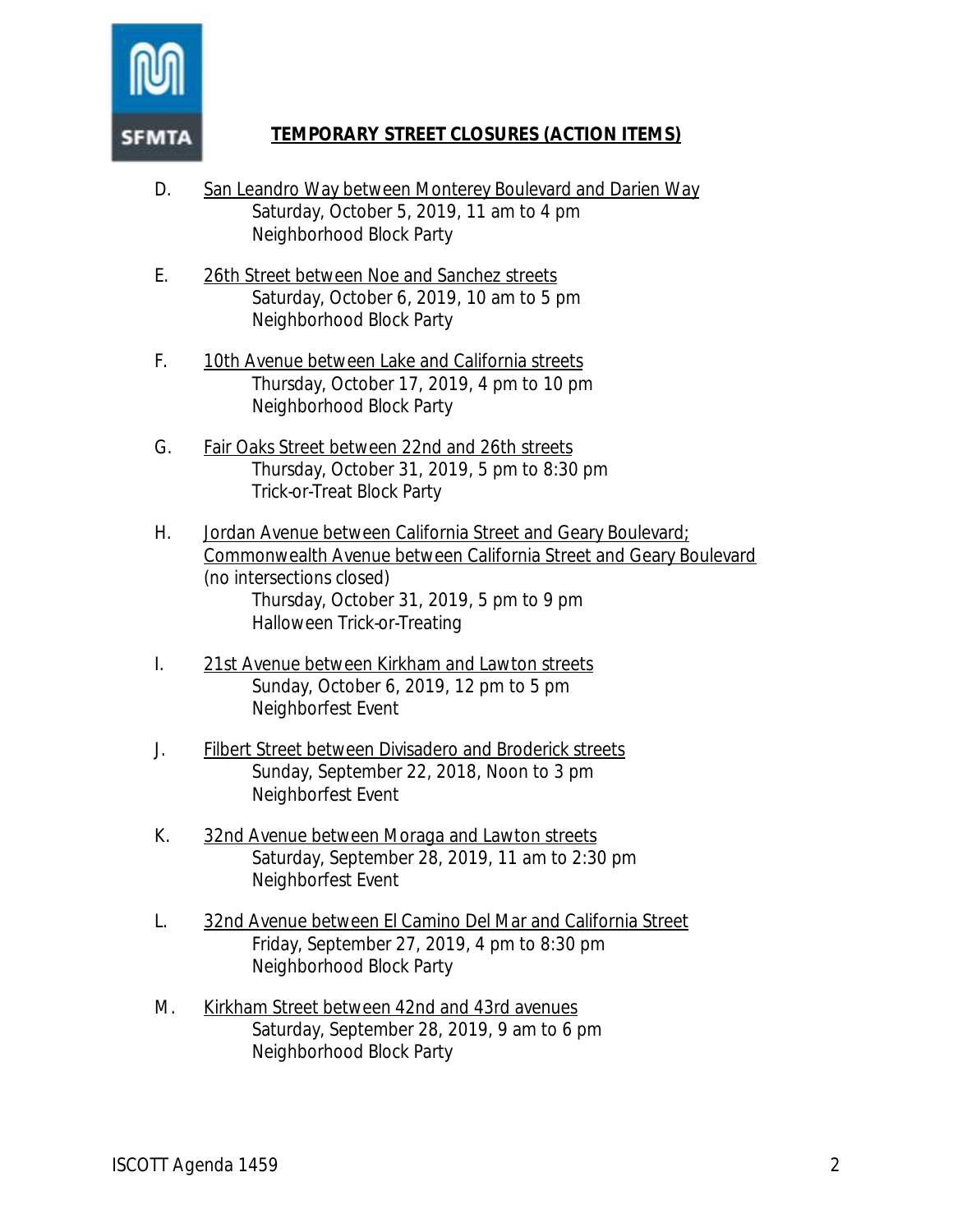

## **TEMPORARY STREET CLOSURES (ACTION ITEMS)**

- D. San Leandro Way between Monterey Boulevard and Darien Way Saturday, October 5, 2019, 11 am to 4 pm Neighborhood Block Party
- E. 26th Street between Noe and Sanchez streets Saturday, October 6, 2019, 10 am to 5 pm Neighborhood Block Party
- F. 10th Avenue between Lake and California streets Thursday, October 17, 2019, 4 pm to 10 pm Neighborhood Block Party
- G. Fair Oaks Street between 22nd and 26th streets Thursday, October 31, 2019, 5 pm to 8:30 pm Trick-or-Treat Block Party
- H. Jordan Avenue between California Street and Geary Boulevard; Commonwealth Avenue between California Street and Geary Boulevard (no intersections closed) Thursday, October 31, 2019, 5 pm to 9 pm Halloween Trick-or-Treating
- I. 21st Avenue between Kirkham and Lawton streets Sunday, October 6, 2019, 12 pm to 5 pm Neighborfest Event
- J. Filbert Street between Divisadero and Broderick streets Sunday, September 22, 2018, Noon to 3 pm Neighborfest Event
- K. 32nd Avenue between Moraga and Lawton streets Saturday, September 28, 2019, 11 am to 2:30 pm Neighborfest Event
- L. 32nd Avenue between El Camino Del Mar and California Street Friday, September 27, 2019, 4 pm to 8:30 pm Neighborhood Block Party
- M. Kirkham Street between 42nd and 43rd avenues Saturday, September 28, 2019, 9 am to 6 pm Neighborhood Block Party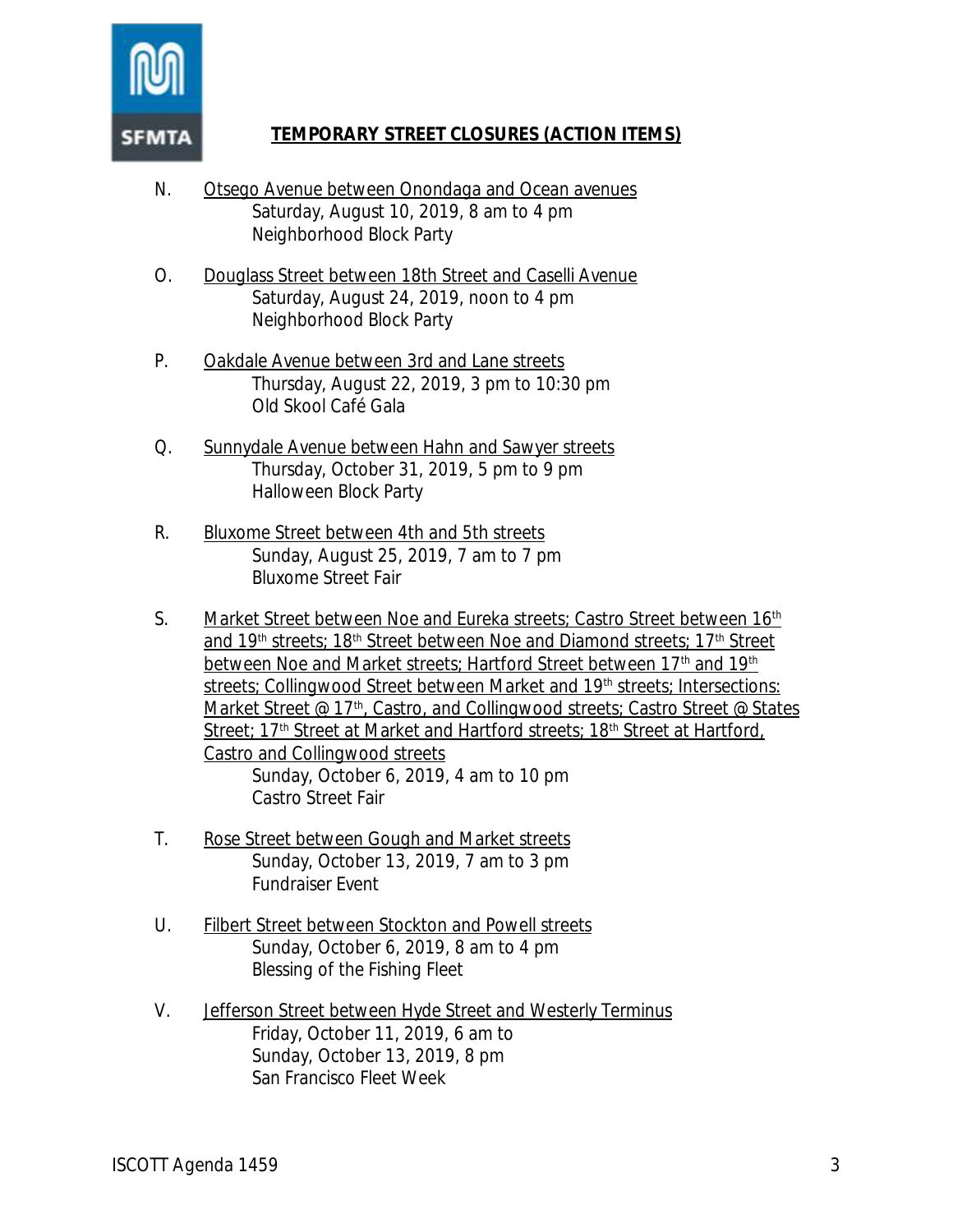

## **TEMPORARY STREET CLOSURES (ACTION ITEMS)**

- N. Otsego Avenue between Onondaga and Ocean avenues Saturday, August 10, 2019, 8 am to 4 pm Neighborhood Block Party
- O. Douglass Street between 18th Street and Caselli Avenue Saturday, August 24, 2019, noon to 4 pm Neighborhood Block Party
- P. Oakdale Avenue between 3rd and Lane streets Thursday, August 22, 2019, 3 pm to 10:30 pm Old Skool Café Gala
- Q. Sunnydale Avenue between Hahn and Sawyer streets Thursday, October 31, 2019, 5 pm to 9 pm Halloween Block Party
- R. Bluxome Street between 4th and 5th streets Sunday, August 25, 2019, 7 am to 7 pm Bluxome Street Fair
- S. Market Street between Noe and Eureka streets; Castro Street between 16<sup>th</sup> and 19<sup>th</sup> streets; 18<sup>th</sup> Street between Noe and Diamond streets; 17<sup>th</sup> Street between Noe and Market streets; Hartford Street between 17<sup>th</sup> and 19<sup>th</sup> streets; Collingwood Street between Market and 19<sup>th</sup> streets; Intersections: Market Street @  $17<sup>th</sup>$ , Castro, and Collingwood streets; Castro Street @ States Street; 17<sup>th</sup> Street at Market and Hartford streets; 18<sup>th</sup> Street at Hartford, Castro and Collingwood streets Sunday, October 6, 2019, 4 am to 10 pm Castro Street Fair
- T. Rose Street between Gough and Market streets Sunday, October 13, 2019, 7 am to 3 pm Fundraiser Event
- U. Filbert Street between Stockton and Powell streets Sunday, October 6, 2019, 8 am to 4 pm Blessing of the Fishing Fleet
- V. Jefferson Street between Hyde Street and Westerly Terminus Friday, October 11, 2019, 6 am to Sunday, October 13, 2019, 8 pm San Francisco Fleet Week